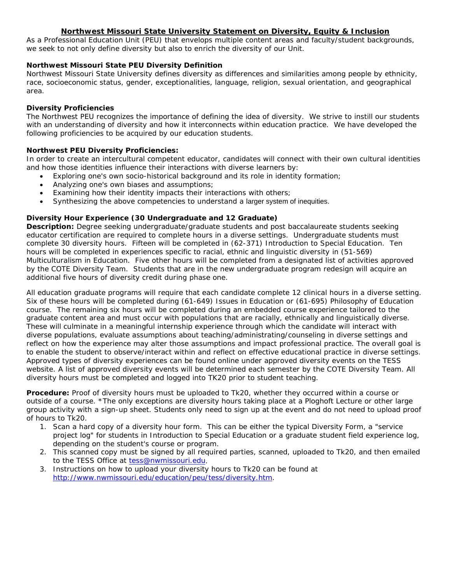## **Northwest Missouri State University Statement on Diversity, Equity & Inclusion**

As a Professional Education Unit (PEU) that envelops multiple content areas and faculty/student backgrounds, we seek to not only define diversity but also to enrich the diversity of our Unit.

#### **Northwest Missouri State PEU Diversity Definition**

Northwest Missouri State University defines diversity as differences and similarities among people by ethnicity, race, socioeconomic status, gender, exceptionalities, language, religion, sexual orientation, and geographical area.

#### **Diversity Proficiencies**

The Northwest PEU recognizes the importance of defining the idea of diversity. We strive to instill our students with an understanding of diversity and how it interconnects within education practice. We have developed the following proficiencies to be acquired by our education students.

## **Northwest PEU Diversity Proficiencies:**

In order to create an intercultural competent educator, candidates will connect with their own cultural identities and how those identities influence their interactions with diverse learners by:

- Exploring one's own socio-historical background and its role in identity formation;
- Analyzing one's own biases and assumptions;
- Examining how their identity impacts their interactions with others;
- Synthesizing the above competencies to understand a larger system of inequities.

# **Diversity Hour Experience (30 Undergraduate and 12 Graduate)**

**Description:** Degree seeking undergraduate/graduate students and post baccalaureate students seeking educator certification are required to complete hours in a diverse settings. Undergraduate students must complete 30 diversity hours. Fifteen will be completed in (62-371) Introduction to Special Education. Ten hours will be completed in experiences specific to racial, ethnic and linguistic diversity in (51-569) Multiculturalism in Education. Five other hours will be completed from a designated list of activities approved by the COTE Diversity Team. Students that are in the new undergraduate program redesign will acquire an additional five hours of diversity credit during phase one.

All education graduate programs will require that each candidate complete 12 clinical hours in a diverse setting. Six of these hours will be completed during (61-649) Issues in Education or (61-695) Philosophy of Education course. The remaining six hours will be completed during an embedded course experience tailored to the graduate content area and must occur with populations that are racially, ethnically and linguistically diverse. These will culminate in a meaningful internship experience through which the candidate will interact with diverse populations, evaluate assumptions about teaching/administrating/counseling in diverse settings and reflect on how the experience may alter those assumptions and impact professional practice. The overall goal is to enable the student to observe/interact within and reflect on effective educational practice in diverse settings. Approved types of diversity experiences can be found online under approved diversity events on the TESS website. A list of approved diversity events will be determined each semester by the COTE Diversity Team. All diversity hours must be completed and logged into TK20 prior to student teaching.

**Procedure:** Proof of diversity hours must be uploaded to Tk20, whether they occurred within a course or outside of a course. \*The only exceptions are diversity hours taking place at a Ploghoft Lecture or other large group activity with a sign-up sheet. Students only need to sign up at the event and do not need to upload proof of hours to Tk20.

- 1. Scan a hard copy of a diversity hour form. This can be either the typical [Diversity Form,](http://www.nwmissouri.edu/education/peu/pdf/tess/Diversity%20Hour%20Credit%20Event%20Form.pdf) a "service project log" for students in Introduction to Special Education or a graduate student field experience log, depending on the student's course or program.
- 2. This scanned copy must be signed by all required parties, scanned, uploaded to Tk20, and then emailed to the TESS Office at [tess@nwmissouri.edu.](mailto:tess@nwmissouri.edu)
- 3. Instructions on how to upload your diversity hours to Tk20 can be found at [http://www.nwmissouri.edu/education/peu/tess/diversity.htm.](http://www.nwmissouri.edu/education/peu/tess/diversity.htm)